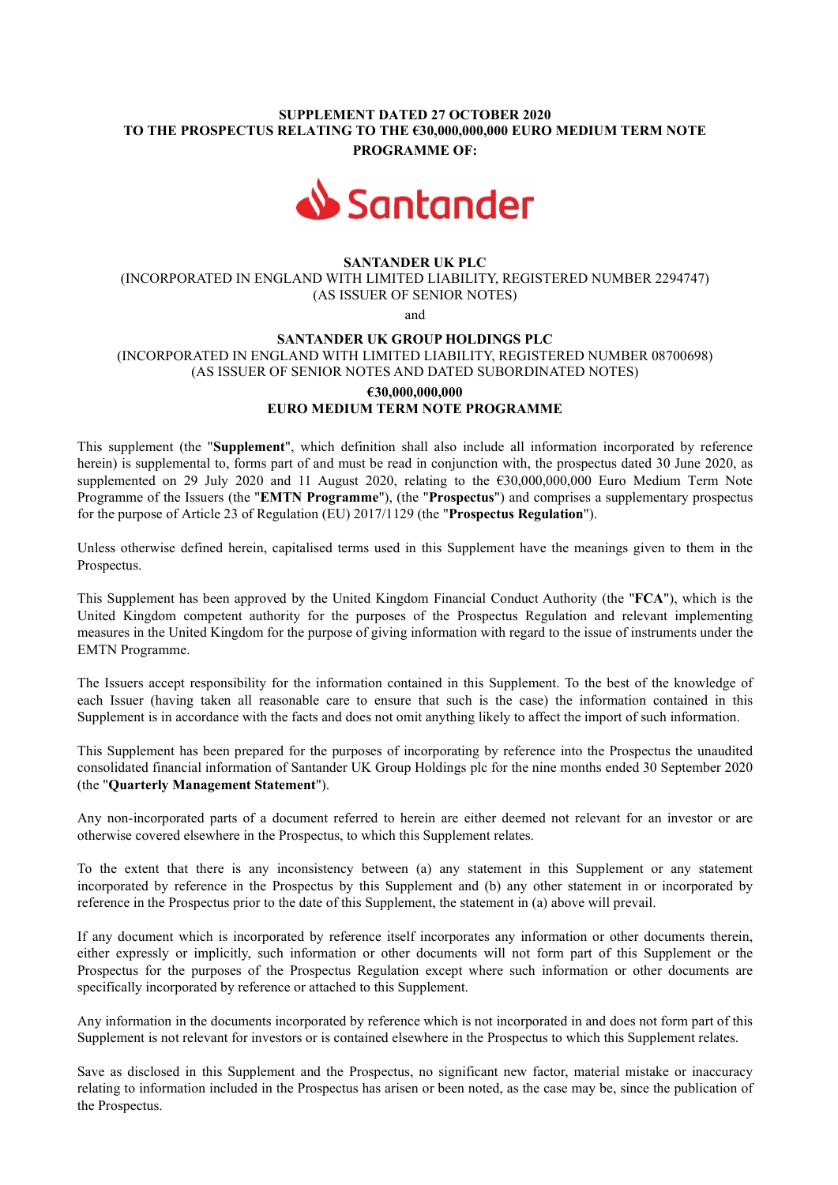# SUPPLEMENT DATED 27 OCTOBER 2020 TO THE PROSPECTUS RELATING TO THE €30,000,000,000 EURO MEDIUM TERM NOTE PROGRAMME OF:



## SANTANDER UK PLC

(INCORPORATED IN ENGLAND WITH LIMITED LIABILITY, REGISTERED NUMBER 2294747) (AS ISSUER OF SENIOR NOTES)

and

### SANTANDER UK GROUP HOLDINGS PLC

(INCORPORATED IN ENGLAND WITH LIMITED LIABILITY, REGISTERED NUMBER 08700698) (AS ISSUER OF SENIOR NOTES AND DATED SUBORDINATED NOTES)

# €30,000,000,000 EURO MEDIUM TERM NOTE PROGRAMME

This supplement (the "Supplement", which definition shall also include all information incorporated by reference herein) is supplemental to, forms part of and must be read in conjunction with, the prospectus dated 30 June 2020, as supplemented on 29 July 2020 and 11 August 2020, relating to the €30,000,000,000 Euro Medium Term Note Programme of the Issuers (the "EMTN Programme"), (the "Prospectus") and comprises a supplementary prospectus for the purpose of Article 23 of Regulation (EU) 2017/1129 (the "Prospectus Regulation").

Unless otherwise defined herein, capitalised terms used in this Supplement have the meanings given to them in the Prospectus.

This Supplement has been approved by the United Kingdom Financial Conduct Authority (the "FCA"), which is the United Kingdom competent authority for the purposes of the Prospectus Regulation and relevant implementing measures in the United Kingdom for the purpose of giving information with regard to the issue of instruments under the EMTN Programme.

The Issuers accept responsibility for the information contained in this Supplement. To the best of the knowledge of each Issuer (having taken all reasonable care to ensure that such is the case) the information contained in this Supplement is in accordance with the facts and does not omit anything likely to affect the import of such information.

This Supplement has been prepared for the purposes of incorporating by reference into the Prospectus the unaudited consolidated financial information of Santander UK Group Holdings plc for the nine months ended 30 September 2020 (the "Quarterly Management Statement").

Any non-incorporated parts of a document referred to herein are either deemed not relevant for an investor or are otherwise covered elsewhere in the Prospectus, to which this Supplement relates.

To the extent that there is any inconsistency between (a) any statement in this Supplement or any statement incorporated by reference in the Prospectus by this Supplement and (b) any other statement in or incorporated by reference in the Prospectus prior to the date of this Supplement, the statement in (a) above will prevail.

If any document which is incorporated by reference itself incorporates any information or other documents therein, either expressly or implicitly, such information or other documents will not form part of this Supplement or the Prospectus for the purposes of the Prospectus Regulation except where such information or other documents are specifically incorporated by reference or attached to this Supplement.

Any information in the documents incorporated by reference which is not incorporated in and does not form part of this Supplement is not relevant for investors or is contained elsewhere in the Prospectus to which this Supplement relates.

Save as disclosed in this Supplement and the Prospectus, no significant new factor, material mistake or inaccuracy relating to information included in the Prospectus has arisen or been noted, as the case may be, since the publication of the Prospectus.